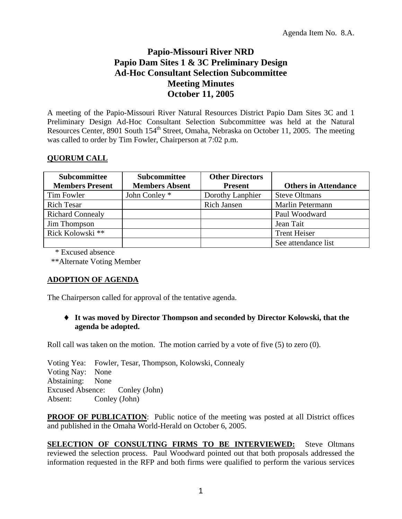# **Papio-Missouri River NRD Papio Dam Sites 1 & 3C Preliminary Design Ad-Hoc Consultant Selection Subcommittee Meeting Minutes October 11, 2005**

A meeting of the Papio-Missouri River Natural Resources District Papio Dam Sites 3C and 1 Preliminary Design Ad-Hoc Consultant Selection Subcommittee was held at the Natural Resources Center, 8901 South 154<sup>th</sup> Street, Omaha, Nebraska on October 11, 2005. The meeting was called to order by Tim Fowler, Chairperson at 7:02 p.m.

## **QUORUM CALL**

| Subcommittee<br><b>Members Present</b> | <b>Subcommittee</b><br><b>Members Absent</b> | <b>Other Directors</b><br><b>Present</b> | <b>Others in Attendance</b> |
|----------------------------------------|----------------------------------------------|------------------------------------------|-----------------------------|
| Tim Fowler                             | John Conley *                                | Dorothy Lanphier                         | <b>Steve Oltmans</b>        |
| <b>Rich Tesar</b>                      |                                              | <b>Rich Jansen</b>                       | Marlin Petermann            |
| <b>Richard Connealy</b>                |                                              |                                          | Paul Woodward               |
| Jim Thompson                           |                                              |                                          | Jean Tait                   |
| Rick Kolowski **                       |                                              |                                          | <b>Trent Heiser</b>         |
|                                        |                                              |                                          | See attendance list         |

\* Excused absence

\*\*Alternate Voting Member

## **ADOPTION OF AGENDA**

The Chairperson called for approval of the tentative agenda.

#### ♦ **It was moved by Director Thompson and seconded by Director Kolowski, that the agenda be adopted.**

Roll call was taken on the motion. The motion carried by a vote of five (5) to zero (0).

Voting Yea: Fowler, Tesar, Thompson, Kolowski, Connealy Voting Nay: None Abstaining: None Excused Absence: Conley (John) Absent: Conley (John)

**PROOF OF PUBLICATION:** Public notice of the meeting was posted at all District offices and published in the Omaha World-Herald on October 6, 2005.

**SELECTION OF CONSULTING FIRMS TO BE INTERVIEWED:** Steve Oltmans reviewed the selection process. Paul Woodward pointed out that both proposals addressed the information requested in the RFP and both firms were qualified to perform the various services